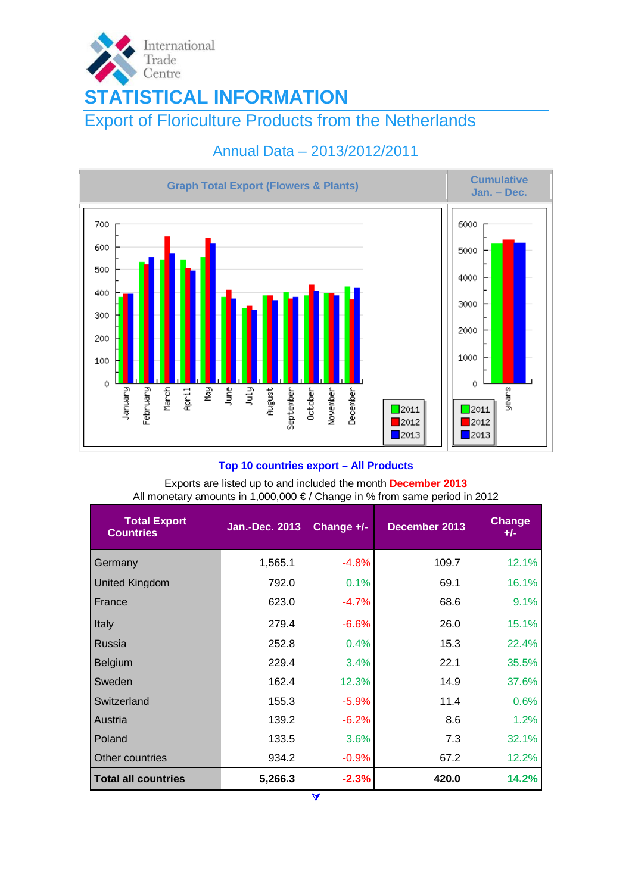

# Annual Data – 2013/2012/2011



## **Top 10 countries export – All Products**

Exports are listed up to and included the month **December 2013**  All monetary amounts in 1,000,000 € / Change in % from same period in 2012

| <b>Total Export</b><br><b>Countries</b> | <b>Jan.-Dec. 2013</b> | Change +/- | December 2013 | <b>Change</b><br>$+/-$ |
|-----------------------------------------|-----------------------|------------|---------------|------------------------|
| Germany                                 | 1,565.1               | $-4.8%$    | 109.7         | 12.1%                  |
| <b>United Kingdom</b>                   | 792.0                 | 0.1%       | 69.1          | 16.1%                  |
| France                                  | 623.0                 | $-4.7%$    | 68.6          | 9.1%                   |
| Italy                                   | 279.4                 | $-6.6%$    | 26.0          | 15.1%                  |
| <b>Russia</b>                           | 252.8                 | 0.4%       | 15.3          | 22.4%                  |
| <b>Belgium</b>                          | 229.4                 | 3.4%       | 22.1          | 35.5%                  |
| Sweden                                  | 162.4                 | 12.3%      | 14.9          | 37.6%                  |
| Switzerland                             | 155.3                 | $-5.9%$    | 11.4          | 0.6%                   |
| Austria                                 | 139.2                 | $-6.2%$    | 8.6           | 1.2%                   |
| Poland                                  | 133.5                 | 3.6%       | 7.3           | 32.1%                  |
| Other countries                         | 934.2                 | $-0.9%$    | 67.2          | 12.2%                  |
| <b>Total all countries</b>              | 5,266.3               | $-2.3%$    | 420.0         | 14.2%                  |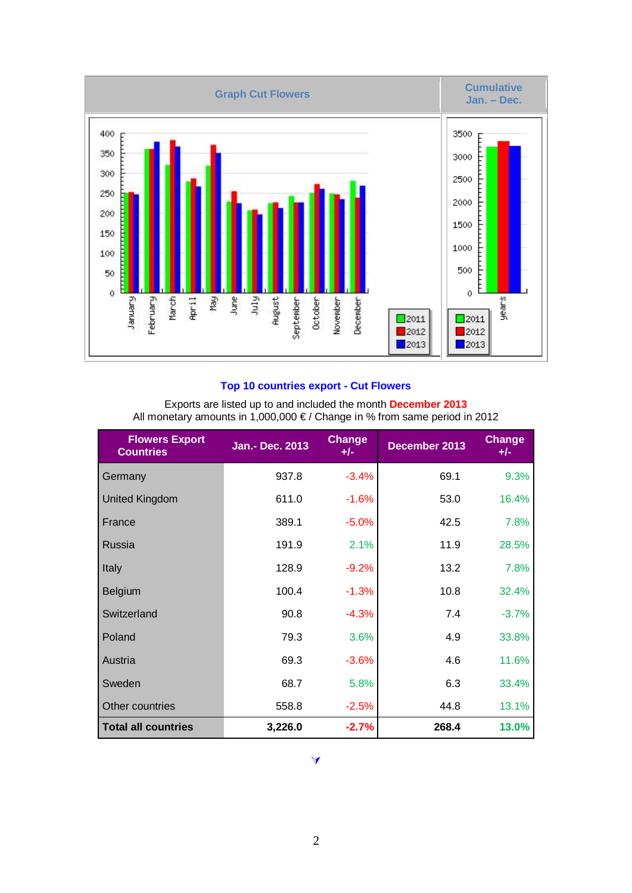

## **Top 10 countries export - Cut Flowers**

| Exports are listed up to and included the month December 2013<br>All monetary amounts in 1,000,000 €/ Change in % from same period in 2012 |                        |                 |               |                        |  |  |  |
|--------------------------------------------------------------------------------------------------------------------------------------------|------------------------|-----------------|---------------|------------------------|--|--|--|
| <b>Flowers Export</b><br><b>Countries</b>                                                                                                  | <b>Jan.- Dec. 2013</b> | Change<br>$+/-$ | December 2013 | <b>Change</b><br>$+/-$ |  |  |  |
| Germany                                                                                                                                    | 937.8                  | $-3.4%$         | 69.1          | 9.3%                   |  |  |  |
| <b>United Kingdom</b>                                                                                                                      | 611.0                  | $-1.6%$         | 53.0          | 16.4%                  |  |  |  |
| France                                                                                                                                     | 389.1                  | $-5.0%$         | 42.5          | 7.8%                   |  |  |  |
| Russia                                                                                                                                     | 191.9                  | 2.1%            | 11.9          | 28.5%                  |  |  |  |
| Italy                                                                                                                                      | 128.9                  | $-9.2%$         | 13.2          | 7.8%                   |  |  |  |
| Belgium                                                                                                                                    | 100.4                  | $-1.3%$         | 10.8          | 32.4%                  |  |  |  |
| Switzerland                                                                                                                                | 90.8                   | $-4.3%$         | 7.4           | $-3.7%$                |  |  |  |
| Poland                                                                                                                                     | 79.3                   | 3.6%            | 4.9           | 33.8%                  |  |  |  |
| Austria                                                                                                                                    | 69.3                   | $-3.6%$         | 4.6           | 11.6%                  |  |  |  |
| Sweden                                                                                                                                     | 68.7                   | 5.8%            | 6.3           | 33.4%                  |  |  |  |
| Other countries                                                                                                                            | 558.8                  | $-2.5%$         | 44.8          | 13.1%                  |  |  |  |
| <b>Total all countries</b>                                                                                                                 | 3,226.0                | $-2.7%$         | 268.4         | 13.0%                  |  |  |  |

## À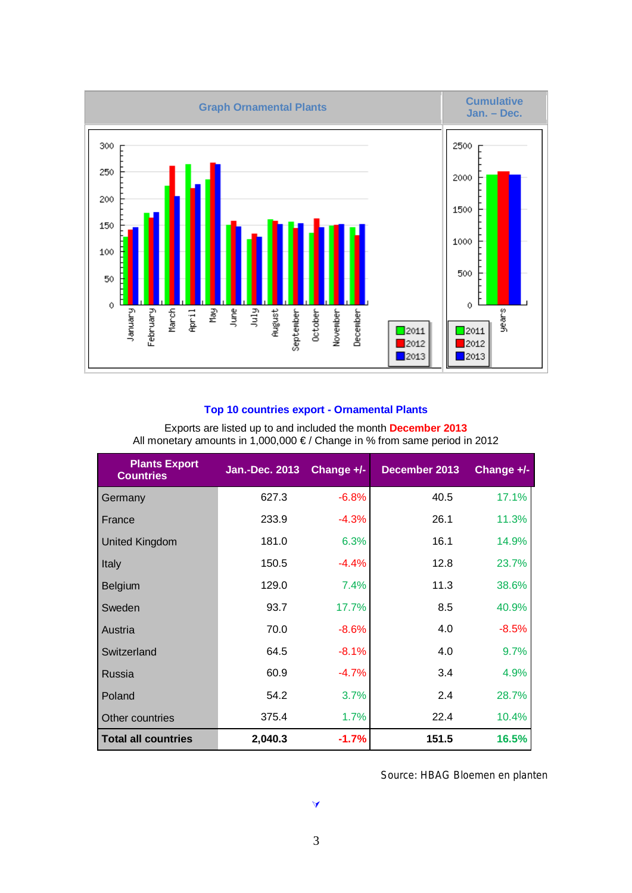

## **Top 10 countries export - Ornamental Plants**

| <b>Plants Export</b><br><b>Countries</b> | <b>Jan.-Dec. 2013</b> | Change +/- | December 2013 | Change +/- |
|------------------------------------------|-----------------------|------------|---------------|------------|
| Germany                                  | 627.3                 | $-6.8%$    | 40.5          | 17.1%      |
| France                                   | 233.9                 | $-4.3%$    | 26.1          | 11.3%      |
| <b>United Kingdom</b>                    | 181.0                 | 6.3%       | 16.1          | 14.9%      |
| Italy                                    | 150.5                 | $-4.4%$    | 12.8          | 23.7%      |
| Belgium                                  | 129.0                 | 7.4%       | 11.3          | 38.6%      |
| Sweden                                   | 93.7                  | 17.7%      | 8.5           | 40.9%      |
| Austria                                  | 70.0                  | $-8.6%$    | 4.0           | $-8.5%$    |
| Switzerland                              | 64.5                  | $-8.1%$    | 4.0           | 9.7%       |
| Russia                                   | 60.9                  | $-4.7%$    | 3.4           | 4.9%       |
| Poland                                   | 54.2                  | 3.7%       | 2.4           | 28.7%      |
| Other countries                          | 375.4                 | 1.7%       | 22.4          | 10.4%      |
| <b>Total all countries</b>               | 2,040.3               | $-1.7%$    | 151.5         | 16.5%      |

Exports are listed up to and included the month **December 2013**  All monetary amounts in 1,000,000 € / Change in % from same period in 2012

Source: HBAG Bloemen en planten